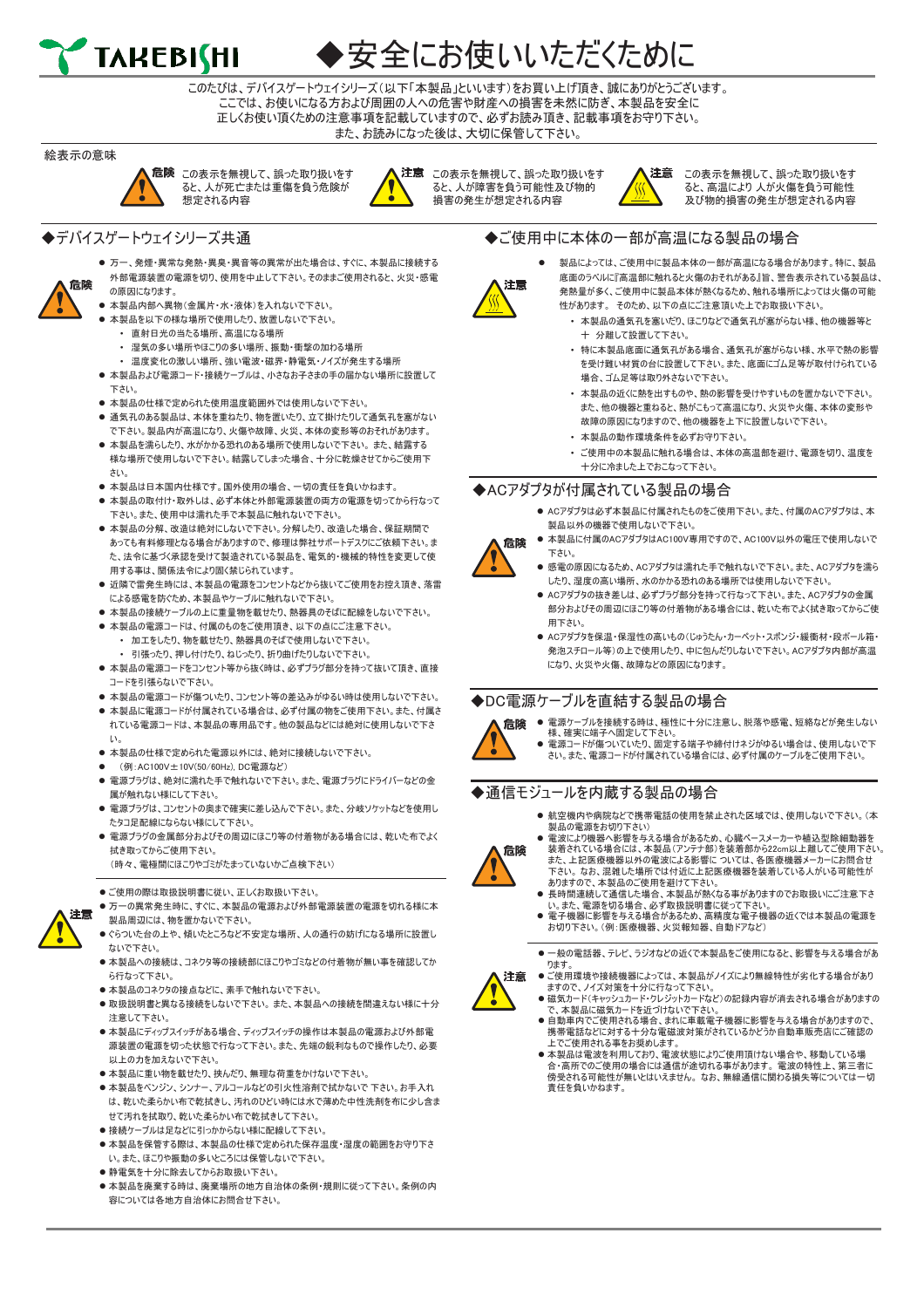

## 安全にお使いいただくために

このたびは、デバイスゲートウェイシリーズ(以下「本製品」といいます)をお買い上げ頂き、誠にありがとうございます。 ここでは、お使いになる方および周囲の人への危害や財産への損害を未然に防ぎ、本製品を安全に 正しくお使い頂くための注意事項を記載していますので、必ずお読み頂き、記載事項をお守り下さい。 また、お読みになった後は、大切に保管して下さい。

#### 絵表示の意味

危险









この表示を無視して、誤った取り扱いをす ると、人が障害を負う可能性及び物的 損害の発生が想定される内容



◆ご使用中に本体の一部が高温になる製品の場合

この表示を無視して、誤った取り扱いをす ると、高温により 人が火傷を負う可能性 及び物的損害の発生が想定される内容

### ◆デバイスゲートウェイシリーズ共通

- 万一、発煙・異常な発熱・異臭・異音等の異常が出た場合は、すぐに、本製品に接続する 外部電源装置の電源を切り、使用を中止して下さい。そのままご使用されると、火災・感電 の原因になります。
- ⚫ 本製品内部へ異物(金属片・水・液体)を入れないで下さい。
- 本製品を以下の様な場所で使用したり、放置しないで下さい。
	- 直射日光の当たる場所、高温になる場所
	- 湿気の多い場所やほこりの多い場所、振動・衝撃の加わる場所
	- 温度変化の激しい場所、強い電波・磁界・静電気・ノイズが発生する場所
- 本製品および電源コード・接続ケーブルは、小さなお子さまの手の届かない場所に設置して 下さい。
- 本製品の仕様で定められた使用温度範囲外では使用しないで下さい。
- 通気孔のある製品は、本体を重ねたり、物を置いたり、立て掛けたりして通気孔を塞がない で下さい。製品内が高温になり、火傷や故障、火災、本体の変形等のおそれがあります。
- 本製品を濡らしたり、水がかかる恐れのある場所で使用しないで下さい。 また、結露する 様な場所で使用しないで下さい。結露してしまった場合、十分に乾燥させてからご使用下 さい。
- 本製品は日本国内仕様です。国外使用の場合、一切の責任を負いかねます。
- 本製品の取付け・取外しは、必ず本体と外部電源装置の両方の電源を切ってから行なって 下さい。また、使用中は濡れた手で本製品に触れないで下さい。
- 本製品の分解、改造は絶対にしないで下さい。分解したり、改造した場合、保証期間で あっても有料修理となる場合がありますので、修理は弊社サポートデスクにご依頼下さい。ま た、法令に基づく承認を受けて製造されている製品を、電気的・機械的特性を変更して使 用する事は、関係法令により固く禁じられています。
- 近隣で雷発生時には、本製品の電源をコンセントなどから抜いてご使用をお控え頂き、落雷 による感電を防ぐため、本製品やケーブルに触れないで下さい。
- 本製品の接続ケーブルの上に重量物を載せたり、熱器具のそばに配線をしないで下さい。
- 本製品の電源コードは、付属のものをご使用頂き、以下の点にご注意下さい。
- 加工をしたり、物を載せたり、熱器具のそばで使用しないで下さい。 • 引張ったり、押し付けたり、ねじったり、折り曲げたりしないで下さい。
- 本製品の電源コードをコンセント等から抜く時は、必ずプラグ部分を持って抜いて頂き、直接 コードを引張らないで下さい。
- 本製品の電源コードが傷ついたり、コンセント等の差込みがゆるい時は使用しないで下さい。
- 本製品に電源コードが付属されている場合は、必ず付属の物をご使用下さい。また、付属さ れている電源コードは、本製品の専用品です。他の製品などには絶対に使用しないで下さ い。
- 本製品の什様で定められた電源以外には、絶対に接続しないで下さい。
- ⚫ (例:AC100V±10V(50/60Hz), DC電源など)
- 雷源プラグは、絶対に濡れた手で触れないで下さい。また、雷源プラグにドライバーなどの金 属が触れない様にして下さい。
- 雷源プラグは、コンセントの奥まで確実に差し込んで下さい。また、分岐ソケットなどを使用し たタコ足配線にならない様にして下さい。
- 電源プラグの金属部分およびその周辺にほこり等の付着物がある場合には、乾いた布でよく 拭き取ってからご使用下さい。
	- (時々、電極間にほこりやゴミがたまっていないかご点検下さい)
- ●ご使用の際は取扱説明書に従い、正しくお取扱い下さい。
- 万一の異常発生時に、すぐに、本製品の電源および外部電源装置の電源を切れる様に本 製品周辺には、物を置かないで下さい。
- ●ぐらついた台の上や、傾いたところなど不安定な場所、人の通行の妨げになる場所に設置し ないで下さい。
- 本製品への接続は、コネクタ等の接続部にほこりやゴミなどの付着物が無い事を確認してか ら行なって下さい。
- 本製品のコネクタの接点などに、素手で触れないで下さい。
- ⚫ 取扱説明書と異なる接続をしないで下さい。 また、本製品への接続を間違えない様に十分 注意して下さい。
- 本製品にディップスイッチがある場合、ディップスイッチの操作は本製品の電源および外部電 源装置の電源を切った状態で行なって下さい。また、先端の鋭利なもので操作したり、必要 以上の力を加えないで下さい。
- 本製品に重い物を載せたり、挟んだり、無理な荷重をかけないで下さい。
- 本製品をベンジン、シンナー、アルコールなどの引火性溶剤で拭かないで 下さい。お手入れ は、乾いた柔らかい布で乾拭きし、汚れのひどい時には水で薄めた中性洗剤を布に少し含ま せて汚れを拭取り、乾いた柔らかい布で乾拭きして下さい。
- 接続ケーブルは足などに引っかからない様に配線して下さい。
- 本製品を保管する際は、本製品の什様で定められた保存温度・湿度の範囲をお守り下さ い。また、ほこりや振動の多いところには保管しないで下さい。
- 静電気を十分に除去してからお取扱い下さい。
- 本製品を廃棄する時は、廃棄場所の地方自治体の条例・規則に従って下さい。条例の内 容については各地方自治体にお問合せ下さい。



- ⚫ 製品によっては、ご使用中に製品本体の一部が高温になる場合があります。特に、製品 底面のラベルに『高温部に触れると火傷のおそれがある』旨、警告表示されている製品は、 発熱量が多く、ご使用中に製品本体が熱くなるため、触れる場所によっては火傷の可能 性があります。 そのため、以下の点にご注意頂いた上でお取扱い下さい。
- 本製品の通気孔を塞いだり、ほこりなどで通気孔が塞がらない様、他の機器等と 十 分離して設置して下さい。
- 特に本製品底面に通気孔がある場合、通気孔が塞がらない様、水平で熱の影響 を受け難い材質の台に設置して下さい。また、底面にゴム足等が取付けられている 場合、ゴム足等は取り外さないで下さい。
- 本製品の近くに熱を出すものや、熱の影響を受けやすいものを置かないで下さい。 また、他の機器と重ねると、熱がこもって高温になり、火災や火傷、本体の変形や 故障の原因になりますので、他の機器を上下に設置しないで下さい。
- 本製品の動作環境条件を必ずお守り下さい。
- ご使用中の本製品に触れる場合は、本体の高温部を避け、電源を切り、温度を 十分に冷ました上でおこなって下さい。

### ◆ACアダプタが付属されている製品の場合

- 危険
- ⚫ ACアダプタは必ず本製品に付属されたものをご使用下さい。また、付属のACアダプタは、本 製品以外の機器で使用しないで下さい。 ● 本製品に付属のACアダプタはAC100V専用ですので、AC100V以外の電圧で使用しないで 下さい。
	- ⚫ 感電の原因になるため、ACアダプタは濡れた手で触れないで下さい。また、ACアダプタを濡ら したり、湿度の高い場所、水のかかる恐れのある場所では使用しないで下さい。
- ⚫ ACアダプタの抜き差しは、必ずプラグ部分を持って行なって下さい。また、ACアダプタの金属 部分およびその周辺にほこり等の付着物がある場合には、乾いた布でよく拭き取ってからご使 用下さい。
- ⚫ ACアダプタを保温・保湿性の高いもの(じゅうたん・カーペット・スポンジ・緩衝材・段ボール箱・ 発泡スチロール等)の上で使用したり、中に包んだりしないで下さい。ACアダプタ内部が高温 になり、火災や火傷、故障などの原因になります。

### ◆DC電源ケーブルを直結する製品の場合



- 電源ケーブルを接続する時は、極性に十分に注意し、脱落や感電、短絡などが発生しない - 様、確実に端子へ固定して下さい。<br>● 電源コードが傷ついていたり、固定する端子や締付けネジがゆるい場合は、使用しないで下
- さい。また、電源コードが付属されている場合には、必ず付属のケーブルをご使用下さい。

### ◆通信モジュールを内蔵する製品の場合

⚫ 航空機内や病院などで携帯電話の使用を禁止された区域では、使用しないで下さい。(本 製品の電源をお切り下さい)



- ⚫ 電波により機器へ影響を与える場合があるため、心臓ペースメーカーや植込型除細動器を 装着されている場合には、本製品(アンテナ部)を装着部から22cm以上離してご使用下さい。 また、上記医療機器以外の電波による影響に ついては、各医療機器メーカーにお問合せ
- 下さい。 なお、混雑した場所では付近に上記医療機器を装着している人がいる可能性が ありますので、本製品のご使用を避けて下さい。 ⚫ 長時間連続して通信した場合、本製品が熱くなる事がありますのでお取扱いにご注意下さ
	- い。また、電源を切る場合、必ず取扱説明書に従って下さい。 ⚫ 電子機器に影響を与える場合があるため、高精度な電子機器の近くでは本製品の電源を
	- お切り下さい。(例:医療機器、火災報知器、自動ドアなど)



- 注意
- ますので、ノイズ対策を十分に行なって下さい。<br>● 磁気カード(キャッシュカード・クレジットカードなど)の記録内容が消去される場合がありますの で、本製品に磁気カードを近づけないで下さい。
- 自動車内でご使用される場合、まれに車載電子機器に影響を与える場合がありますので、 携帯電話などに対する十分な電磁波対策がされているかどうか自動車販売店にご確認の 上でご使用される事をお奨めします。
- ⚫ 本製品は電波を利用しており、電波状態によりご使用頂けない場合や、移動している場 合・高所でのご使用の場合には通信が途切れる事があります。 電波の特性上、第三者に 傍受される可能性が無いとはいえません。 なお、無線通信に関わる損失等については一切 責任を負いかねます。